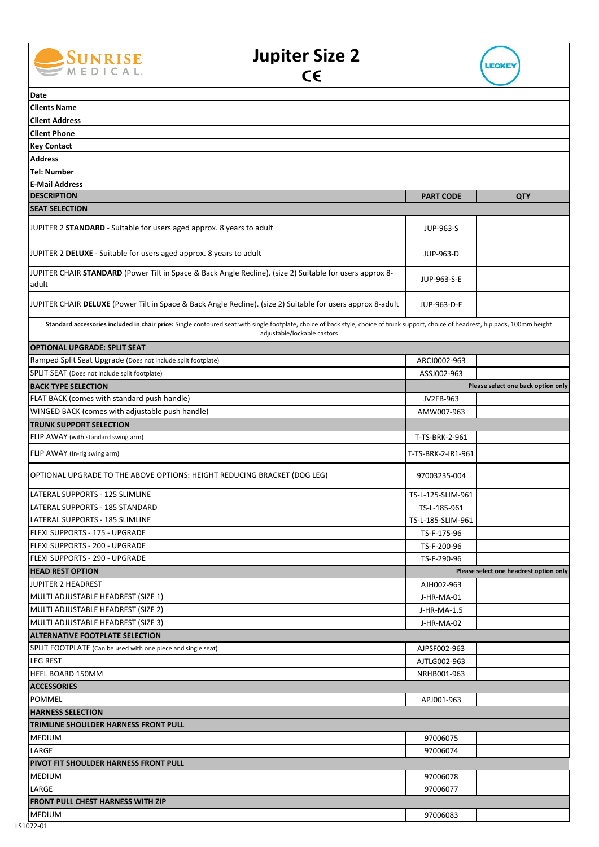

## **Jupiter Size 2**



| Date                                                                                                                                                                                                                |  |                    |                                        |  |
|---------------------------------------------------------------------------------------------------------------------------------------------------------------------------------------------------------------------|--|--------------------|----------------------------------------|--|
| <b>Clients Name</b>                                                                                                                                                                                                 |  |                    |                                        |  |
| <b>Client Address</b>                                                                                                                                                                                               |  |                    |                                        |  |
| <b>Client Phone</b>                                                                                                                                                                                                 |  |                    |                                        |  |
| <b>Key Contact</b>                                                                                                                                                                                                  |  |                    |                                        |  |
| <b>Address</b>                                                                                                                                                                                                      |  |                    |                                        |  |
| <b>Tel: Number</b>                                                                                                                                                                                                  |  |                    |                                        |  |
| <b>E-Mail Address</b>                                                                                                                                                                                               |  |                    |                                        |  |
| <b>DESCRIPTION</b>                                                                                                                                                                                                  |  | <b>PART CODE</b>   | QTY                                    |  |
| <b>SEAT SELECTION</b>                                                                                                                                                                                               |  |                    |                                        |  |
| JUPITER 2 STANDARD - Suitable for users aged approx. 8 years to adult                                                                                                                                               |  | JUP-963-S          |                                        |  |
| JUPITER 2 DELUXE - Suitable for users aged approx. 8 years to adult                                                                                                                                                 |  | JUP-963-D          |                                        |  |
| JUPITER CHAIR STANDARD (Power Tilt in Space & Back Angle Recline). (size 2) Suitable for users approx 8-<br>adult                                                                                                   |  | JUP-963-S-E        |                                        |  |
| JUPITER CHAIR DELUXE (Power Tilt in Space & Back Angle Recline). (size 2) Suitable for users approx 8-adult                                                                                                         |  | JUP-963-D-E        |                                        |  |
| Standard accessories included in chair price: Single contoured seat with single footplate, choice of back style, choice of trunk support, choice of headrest, hip pads, 100mm height<br>adjustable/lockable castors |  |                    |                                        |  |
| <b>OPTIONAL UPGRADE: SPLIT SEAT</b>                                                                                                                                                                                 |  |                    |                                        |  |
| Ramped Split Seat Upgrade (Does not include split footplate)                                                                                                                                                        |  | ARCJ0002-963       |                                        |  |
| SPLIT SEAT (Does not include split footplate)                                                                                                                                                                       |  | ASSJ002-963        |                                        |  |
| <b>BACK TYPE SELECTION</b>                                                                                                                                                                                          |  |                    | Please select one back option only     |  |
| FLAT BACK (comes with standard push handle)                                                                                                                                                                         |  | JV2FB-963          |                                        |  |
| WINGED BACK (comes with adjustable push handle)                                                                                                                                                                     |  | AMW007-963         |                                        |  |
| <b>TRUNK SUPPORT SELECTION</b>                                                                                                                                                                                      |  |                    |                                        |  |
|                                                                                                                                                                                                                     |  |                    |                                        |  |
| FLIP AWAY (with standard swing arm)                                                                                                                                                                                 |  | T-TS-BRK-2-961     |                                        |  |
| FLIP AWAY (In-rig swing arm)                                                                                                                                                                                        |  | T-TS-BRK-2-IR1-961 |                                        |  |
| OPTIONAL UPGRADE TO THE ABOVE OPTIONS: HEIGHT REDUCING BRACKET (DOG LEG)                                                                                                                                            |  | 97003235-004       |                                        |  |
| LATERAL SUPPORTS - 125 SLIMLINE                                                                                                                                                                                     |  | TS-L-125-SLIM-961  |                                        |  |
| LATERAL SUPPORTS - 185 STANDARD                                                                                                                                                                                     |  | TS-L-185-961       |                                        |  |
| LATERAL SUPPORTS - 185 SLIMLINE                                                                                                                                                                                     |  | TS-L-185-SLIM-961  |                                        |  |
| <b>FLEXI SUPPORTS - 175 - UPGRADE</b>                                                                                                                                                                               |  | TS-F-175-96        |                                        |  |
| FLEXI SUPPORTS - 200 - UPGRADE                                                                                                                                                                                      |  | TS-F-200-96        |                                        |  |
| <b>FLEXI SUPPORTS - 290 - UPGRADE</b>                                                                                                                                                                               |  | TS-F-290-96        |                                        |  |
| <b>HEAD REST OPTION</b>                                                                                                                                                                                             |  |                    | Please select one headrest option only |  |
| JUPITER 2 HEADREST                                                                                                                                                                                                  |  | AJH002-963         |                                        |  |
| MULTI ADJUSTABLE HEADREST (SIZE 1)                                                                                                                                                                                  |  | J-HR-MA-01         |                                        |  |
| MULTI ADJUSTABLE HEADREST (SIZE 2)                                                                                                                                                                                  |  | J-HR-MA-1.5        |                                        |  |
| MULTI ADJUSTABLE HEADREST (SIZE 3)                                                                                                                                                                                  |  | J-HR-MA-02         |                                        |  |
| <b>ALTERNATIVE FOOTPLATE SELECTION</b>                                                                                                                                                                              |  |                    |                                        |  |
| SPLIT FOOTPLATE (Can be used with one piece and single seat)                                                                                                                                                        |  |                    |                                        |  |
| <b>LEG REST</b>                                                                                                                                                                                                     |  | AJPSF002-963       |                                        |  |
|                                                                                                                                                                                                                     |  | AJTLG002-963       |                                        |  |
| HEEL BOARD 150MM                                                                                                                                                                                                    |  | NRHB001-963        |                                        |  |
| <b>ACCESSORIES</b>                                                                                                                                                                                                  |  |                    |                                        |  |
| <b>POMMEL</b>                                                                                                                                                                                                       |  | APJ001-963         |                                        |  |
| <b>HARNESS SELECTION</b>                                                                                                                                                                                            |  |                    |                                        |  |
| TRIMLINE SHOULDER HARNESS FRONT PULL                                                                                                                                                                                |  |                    |                                        |  |
| <b>MEDIUM</b>                                                                                                                                                                                                       |  | 97006075           |                                        |  |
| LARGE                                                                                                                                                                                                               |  | 97006074           |                                        |  |
| PIVOT FIT SHOULDER HARNESS FRONT PULL                                                                                                                                                                               |  |                    |                                        |  |
| <b>MEDIUM</b>                                                                                                                                                                                                       |  | 97006078           |                                        |  |
| LARGE                                                                                                                                                                                                               |  | 97006077           |                                        |  |
| <b>FRONT PULL CHEST HARNESS WITH ZIP</b>                                                                                                                                                                            |  |                    |                                        |  |
| <b>MEDIUM</b>                                                                                                                                                                                                       |  | 97006083           |                                        |  |